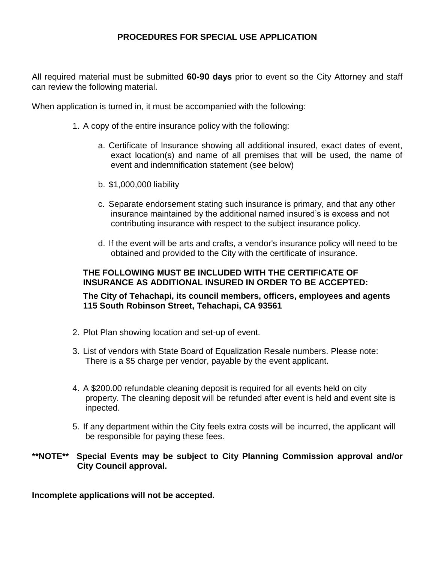## **PROCEDURES FOR SPECIAL USE APPLICATION**

All required material must be submitted **60-90 days** prior to event so the City Attorney and staff can review the following material.

When application is turned in, it must be accompanied with the following:

- 1. A copy of the entire insurance policy with the following:
	- a. Certificate of Insurance showing all additional insured, exact dates of event, exact location(s) and name of all premises that will be used, the name of event and indemnification statement (see below)
	- b. \$1,000,000 liability
	- c. Separate endorsement stating such insurance is primary, and that any other insurance maintained by the additional named insured's is excess and not contributing insurance with respect to the subject insurance policy.
	- d. If the event will be arts and crafts, a vendor's insurance policy will need to be obtained and provided to the City with the certificate of insurance.

#### **THE FOLLOWING MUST BE INCLUDED WITH THE CERTIFICATE OF INSURANCE AS ADDITIONAL INSURED IN ORDER TO BE ACCEPTED:**

### **The City of Tehachapi, its council members, officers, employees and agents 115 South Robinson Street, Tehachapi, CA 93561**

- 2. Plot Plan showing location and set-up of event.
- 3. List of vendors with State Board of Equalization Resale numbers. Please note: There is a \$5 charge per vendor, payable by the event applicant.
- 4. A \$200.00 refundable cleaning deposit is required for all events held on city property. The cleaning deposit will be refunded after event is held and event site is inpected.
- 5. If any department within the City feels extra costs will be incurred, the applicant will be responsible for paying these fees.

#### **\*\*NOTE\*\* Special Events may be subject to City Planning Commission approval and/or City Council approval.**

#### **Incomplete applications will not be accepted.**